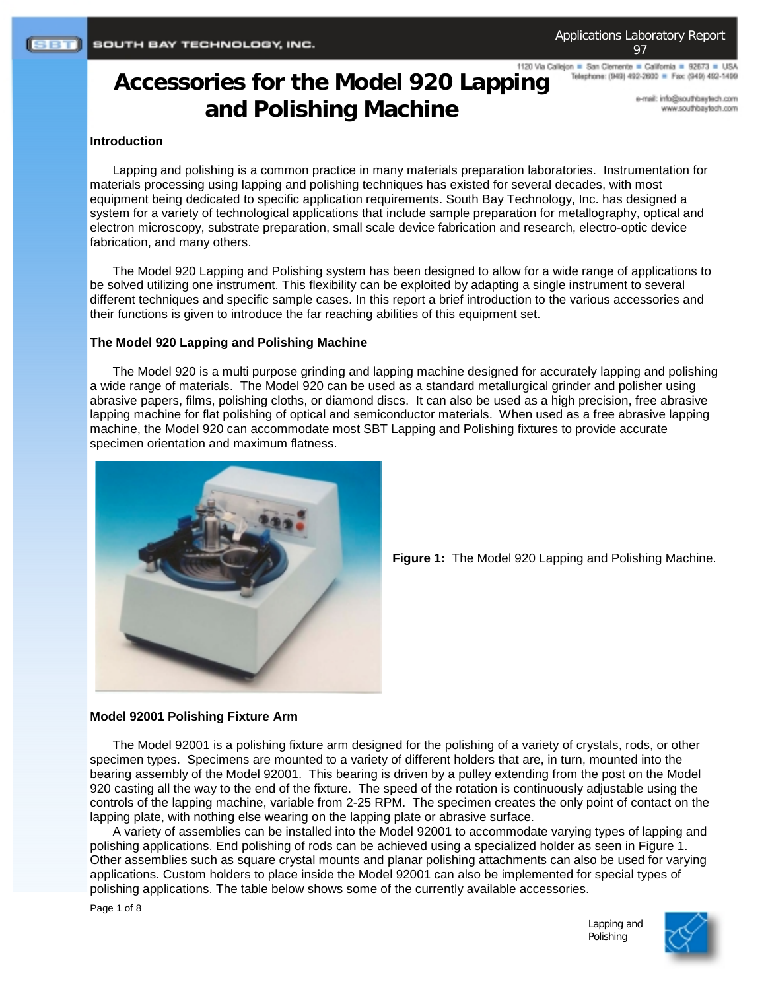# 1120 Via Callejon = San Clemente = California = 92673 = USA **Accessories for the Model 920 Lapping and Polishing Machine**

e-mail: info@southbaytech.com

Telephone: (949) 492-2600 = Fax: (949) 492-1499

www.southbaytech.com

## **Introduction**

Lapping and polishing is a common practice in many materials preparation laboratories. Instrumentation for materials processing using lapping and polishing techniques has existed for several decades, with most equipment being dedicated to specific application requirements. South Bay Technology, Inc. has designed a system for a variety of technological applications that include sample preparation for metallography, optical and electron microscopy, substrate preparation, small scale device fabrication and research, electro-optic device fabrication, and many others.

The Model 920 Lapping and Polishing system has been designed to allow for a wide range of applications to be solved utilizing one instrument. This flexibility can be exploited by adapting a single instrument to several different techniques and specific sample cases. In this report a brief introduction to the various accessories and their functions is given to introduce the far reaching abilities of this equipment set.

### **The Model 920 Lapping and Polishing Machine**

The Model 920 is a multi purpose grinding and lapping machine designed for accurately lapping and polishing a wide range of materials. The Model 920 can be used as a standard metallurgical grinder and polisher using abrasive papers, films, polishing cloths, or diamond discs. It can also be used as a high precision, free abrasive lapping machine for flat polishing of optical and semiconductor materials. When used as a free abrasive lapping machine, the Model 920 can accommodate most SBT Lapping and Polishing fixtures to provide accurate specimen orientation and maximum flatness.



**Figure 1:** The Model 920 Lapping and Polishing Machine.

#### **Model 92001 Polishing Fixture Arm**

The Model 92001 is a polishing fixture arm designed for the polishing of a variety of crystals, rods, or other specimen types. Specimens are mounted to a variety of different holders that are, in turn, mounted into the bearing assembly of the Model 92001. This bearing is driven by a pulley extending from the post on the Model 920 casting all the way to the end of the fixture. The speed of the rotation is continuously adjustable using the controls of the lapping machine, variable from 2-25 RPM. The specimen creates the only point of contact on the lapping plate, with nothing else wearing on the lapping plate or abrasive surface.

A variety of assemblies can be installed into the Model 92001 to accommodate varying types of lapping and polishing applications. End polishing of rods can be achieved using a specialized holder as seen in Figure 1. Other assemblies such as square crystal mounts and planar polishing attachments can also be used for varying applications. Custom holders to place inside the Model 92001 can also be implemented for special types of polishing applications. The table below shows some of the currently available accessories.

Page 1 of 8

Lapping and Polishing

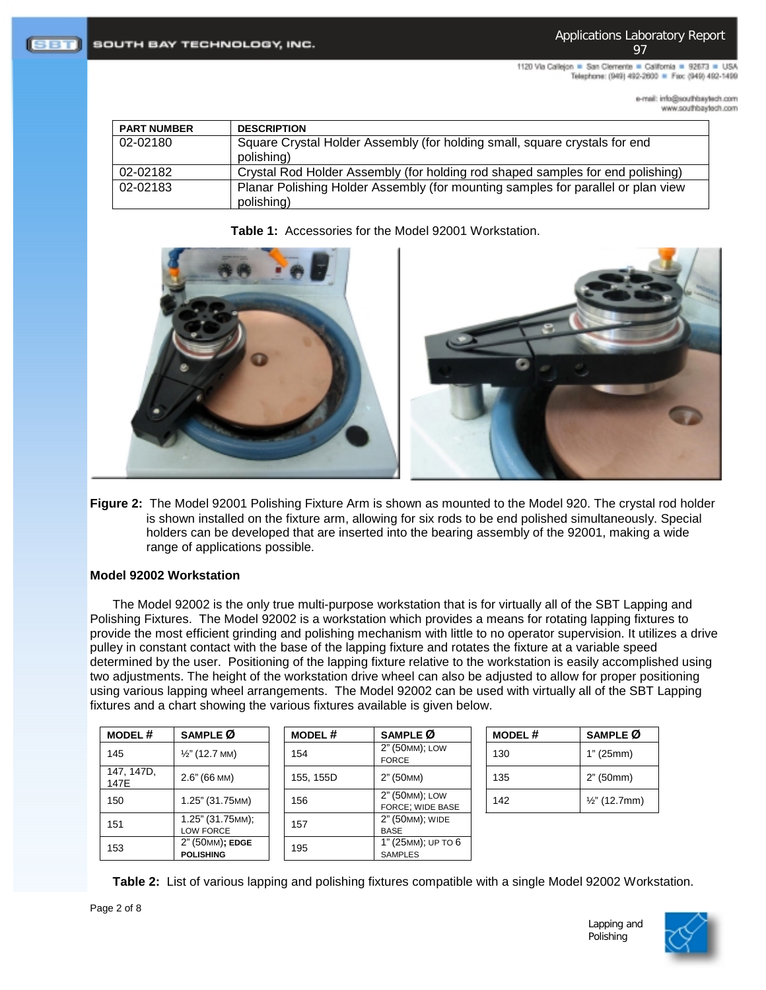1120 Via Callejon = San Clemente = California = 92673 = USA Telephone: (949) 492-2600 = Fax: (949) 492-1499

> e-mail: info@southbaytech.com moo.floelytedfuoz.www

| <b>PART NUMBER</b> | <b>DESCRIPTION</b>                                                                             |  |  |
|--------------------|------------------------------------------------------------------------------------------------|--|--|
| 02-02180           | Square Crystal Holder Assembly (for holding small, square crystals for end                     |  |  |
|                    | polishing)                                                                                     |  |  |
| 02-02182           | Crystal Rod Holder Assembly (for holding rod shaped samples for end polishing)                 |  |  |
| 02-02183           | Planar Polishing Holder Assembly (for mounting samples for parallel or plan view<br>polishing) |  |  |

**Table 1:** Accessories for the Model 92001 Workstation.





**Figure 2:** The Model 92001 Polishing Fixture Arm is shown as mounted to the Model 920. The crystal rod holder is shown installed on the fixture arm, allowing for six rods to be end polished simultaneously. Special holders can be developed that are inserted into the bearing assembly of the 92001, making a wide range of applications possible.

# **Model 92002 Workstation**

The Model 92002 is the only true multi-purpose workstation that is for virtually all of the SBT Lapping and Polishing Fixtures. The Model 92002 is a workstation which provides a means for rotating lapping fixtures to provide the most efficient grinding and polishing mechanism with little to no operator supervision. It utilizes a drive pulley in constant contact with the base of the lapping fixture and rotates the fixture at a variable speed determined by the user. Positioning of the lapping fixture relative to the workstation is easily accomplished using two adjustments. The height of the workstation drive wheel can also be adjusted to allow for proper positioning using various lapping wheel arrangements. The Model 92002 can be used with virtually all of the SBT Lapping fixtures and a chart showing the various fixtures available is given below.

| <b>MODEL#</b>      | SAMPLE Ø                            | <b>MODEL#</b> | SAMPLE Ø                             | <b>MODEL#</b> | SAMPLE Ø                 |
|--------------------|-------------------------------------|---------------|--------------------------------------|---------------|--------------------------|
| 145                | $\frac{1}{2}$ " (12.7 MM)           | 154           | 2" (50MM); LOW<br><b>FORCE</b>       | 130           | 1" (25mm)                |
| 147, 147D,<br>147E | $2.6" (66$ MM)                      | 155, 155D     | 2" (50MM)                            | 135           | 2" (50mm)                |
| 150                | 1.25" (31.75MM)                     | 156           | 2" (50 MM); LOW<br>FORCE; WIDE BASE  | 142           | $\frac{1}{2}$ " (12.7mm) |
| 151                | 1.25" (31.75MM);<br>LOW FORCE       | 157           | 2" (50MM); WIDE<br><b>BASE</b>       |               |                          |
| 153                | 2" (50MM); EDGE<br><b>POLISHING</b> | 195           | 1" (25MM); UP TO 6<br><b>SAMPLES</b> |               |                          |

**Table 2:** List of various lapping and polishing fixtures compatible with a single Model 92002 Workstation.

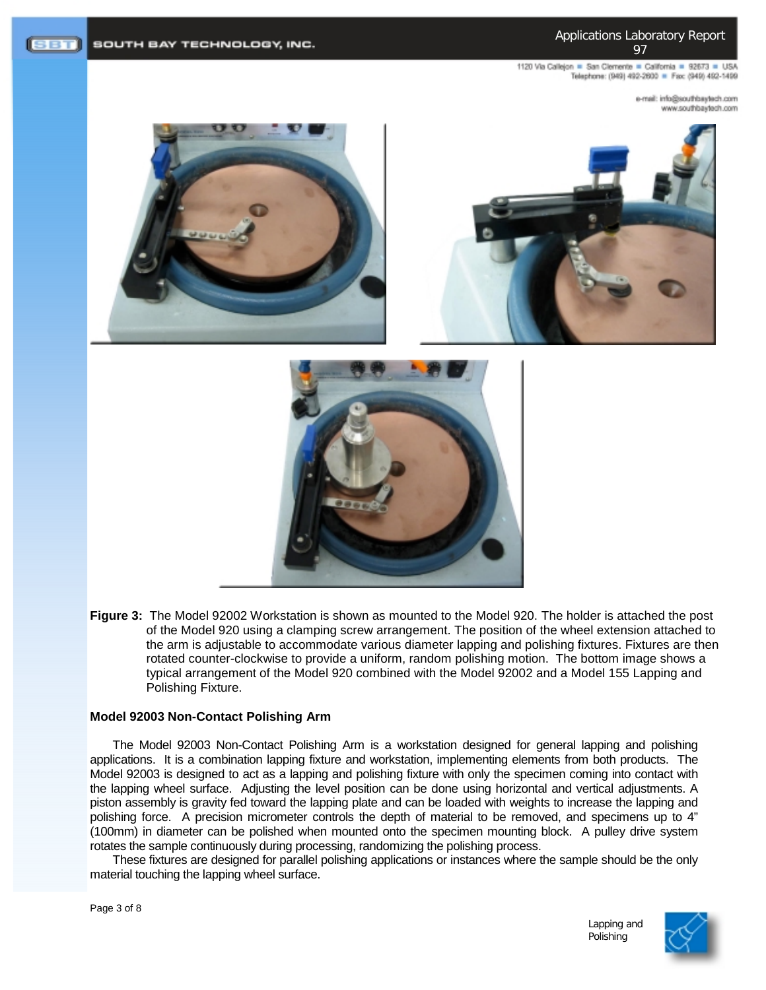1120 Via Callejon = San Clemente = California = 92673 = USA Telephone: (949) 492-2600 = Fax: (949) 492-1499

> mo.rloetysdrtuos@ohri.ilam-e moo.floeyeedrib.com







**Figure 3:** The Model 92002 Workstation is shown as mounted to the Model 920. The holder is attached the post of the Model 920 using a clamping screw arrangement. The position of the wheel extension attached to the arm is adjustable to accommodate various diameter lapping and polishing fixtures. Fixtures are then rotated counter-clockwise to provide a uniform, random polishing motion. The bottom image shows a typical arrangement of the Model 920 combined with the Model 92002 and a Model 155 Lapping and Polishing Fixture.

#### **Model 92003 Non-Contact Polishing Arm**

The Model 92003 Non-Contact Polishing Arm is a workstation designed for general lapping and polishing applications. It is a combination lapping fixture and workstation, implementing elements from both products. The Model 92003 is designed to act as a lapping and polishing fixture with only the specimen coming into contact with the lapping wheel surface. Adjusting the level position can be done using horizontal and vertical adjustments. A piston assembly is gravity fed toward the lapping plate and can be loaded with weights to increase the lapping and polishing force. A precision micrometer controls the depth of material to be removed, and specimens up to 4" (100mm) in diameter can be polished when mounted onto the specimen mounting block. A pulley drive system rotates the sample continuously during processing, randomizing the polishing process.

These fixtures are designed for parallel polishing applications or instances where the sample should be the only material touching the lapping wheel surface.



Lapping and Polishing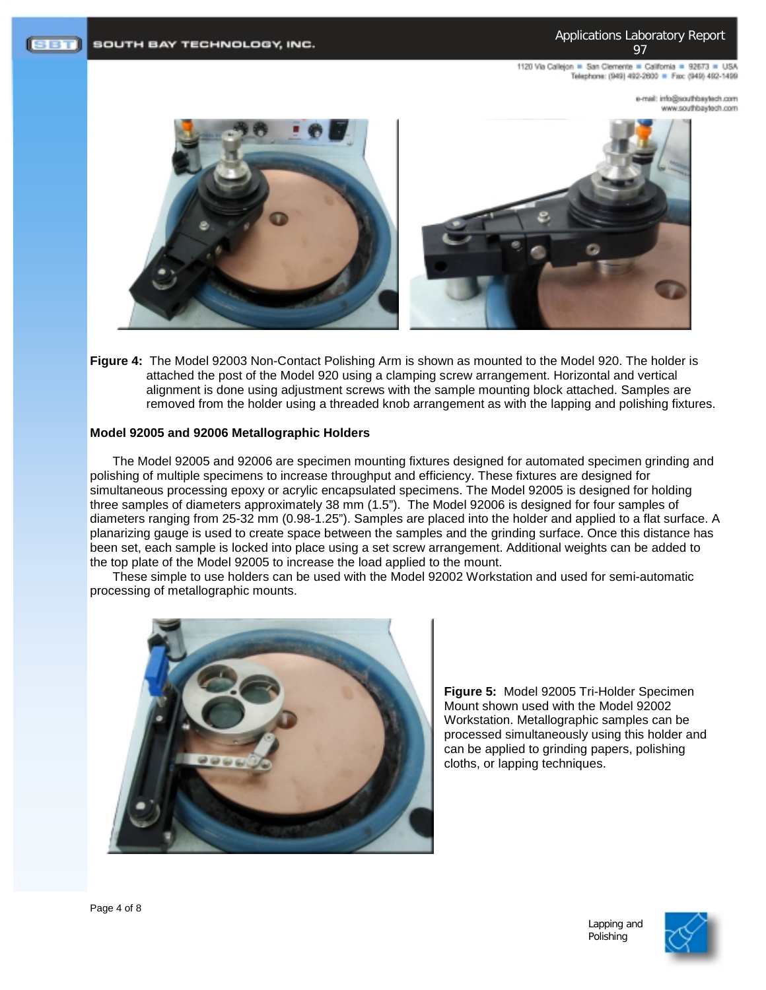1120 Via Callejon = San Clemente = California = 92673 = USA Telephone: (949) 492-2600 = Fax: (949) 492-1499

> mo.detysdrtuos@cini :liem-e moo.floelytedfuoz.www



**Figure 4:** The Model 92003 Non-Contact Polishing Arm is shown as mounted to the Model 920. The holder is attached the post of the Model 920 using a clamping screw arrangement. Horizontal and vertical alignment is done using adjustment screws with the sample mounting block attached. Samples are removed from the holder using a threaded knob arrangement as with the lapping and polishing fixtures.

### **Model 92005 and 92006 Metallographic Holders**

The Model 92005 and 92006 are specimen mounting fixtures designed for automated specimen grinding and polishing of multiple specimens to increase throughput and efficiency. These fixtures are designed for simultaneous processing epoxy or acrylic encapsulated specimens. The Model 92005 is designed for holding three samples of diameters approximately 38 mm (1.5"). The Model 92006 is designed for four samples of diameters ranging from 25-32 mm (0.98-1.25"). Samples are placed into the holder and applied to a flat surface. A planarizing gauge is used to create space between the samples and the grinding surface. Once this distance has been set, each sample is locked into place using a set screw arrangement. Additional weights can be added to the top plate of the Model 92005 to increase the load applied to the mount.

These simple to use holders can be used with the Model 92002 Workstation and used for semi-automatic processing of metallographic mounts.



**Figure 5:** Model 92005 Tri-Holder Specimen Mount shown used with the Model 92002 Workstation. Metallographic samples can be processed simultaneously using this holder and can be applied to grinding papers, polishing cloths, or lapping techniques.

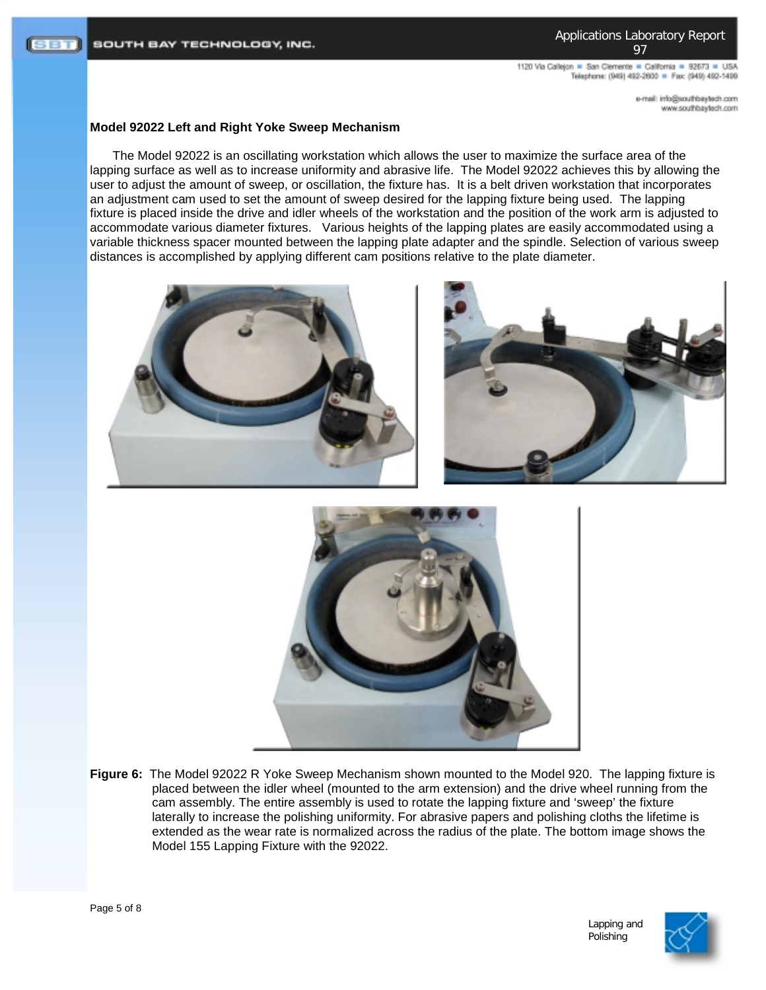1120 Via Calleion . San Clemente . California . 92673 . USA Telephone: (949) 492-2600 = Fax: (949) 492-1499

> mo.rloetysdrtuos@ohri.ilam-e moo.floelytedfuoz.www

# **Model 92022 Left and Right Yoke Sweep Mechanism**

The Model 92022 is an oscillating workstation which allows the user to maximize the surface area of the lapping surface as well as to increase uniformity and abrasive life. The Model 92022 achieves this by allowing the user to adjust the amount of sweep, or oscillation, the fixture has. It is a belt driven workstation that incorporates an adjustment cam used to set the amount of sweep desired for the lapping fixture being used. The lapping fixture is placed inside the drive and idler wheels of the workstation and the position of the work arm is adjusted to accommodate various diameter fixtures. Various heights of the lapping plates are easily accommodated using a variable thickness spacer mounted between the lapping plate adapter and the spindle. Selection of various sweep distances is accomplished by applying different cam positions relative to the plate diameter.







**Figure 6:** The Model 92022 R Yoke Sweep Mechanism shown mounted to the Model 920. The lapping fixture is placed between the idler wheel (mounted to the arm extension) and the drive wheel running from the cam assembly. The entire assembly is used to rotate the lapping fixture and 'sweep' the fixture laterally to increase the polishing uniformity. For abrasive papers and polishing cloths the lifetime is extended as the wear rate is normalized across the radius of the plate. The bottom image shows the Model 155 Lapping Fixture with the 92022.

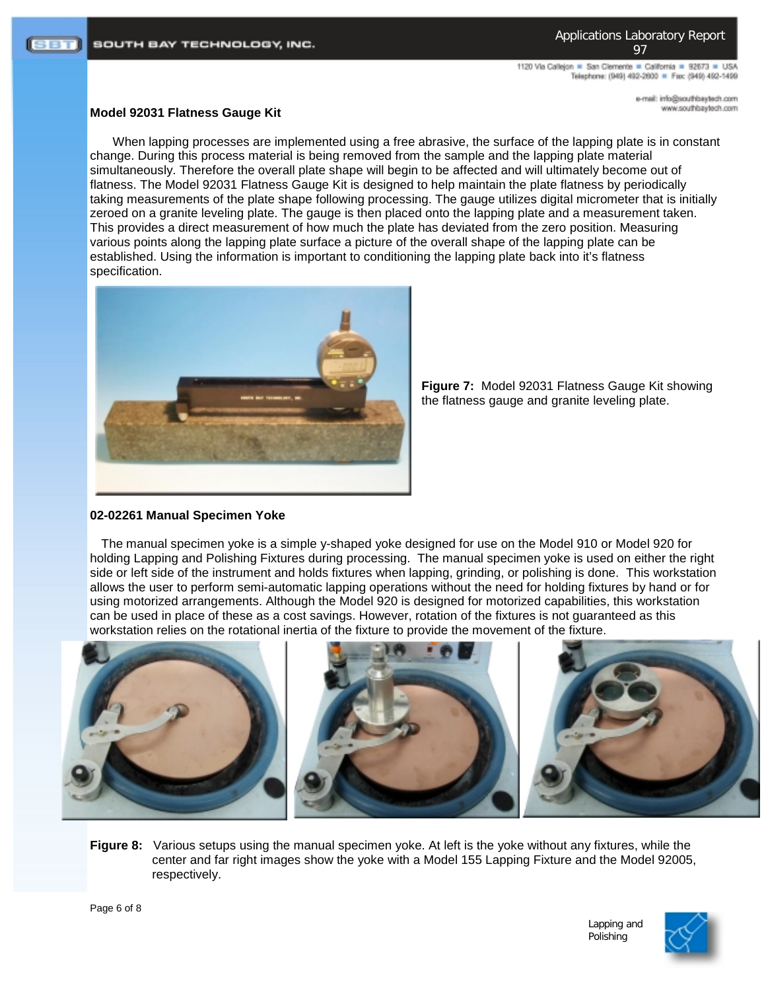1120 Via Callejon = San Clemente = California = 92673 = USA Telephone: (949) 492-2600 = Fax: (949) 492-1499

> mo.rloetysdrtuos@ohri.ilam-e moo.floelytedfuoz.www

#### **Model 92031 Flatness Gauge Kit**

When lapping processes are implemented using a free abrasive, the surface of the lapping plate is in constant change. During this process material is being removed from the sample and the lapping plate material simultaneously. Therefore the overall plate shape will begin to be affected and will ultimately become out of flatness. The Model 92031 Flatness Gauge Kit is designed to help maintain the plate flatness by periodically taking measurements of the plate shape following processing. The gauge utilizes digital micrometer that is initially zeroed on a granite leveling plate. The gauge is then placed onto the lapping plate and a measurement taken. This provides a direct measurement of how much the plate has deviated from the zero position. Measuring various points along the lapping plate surface a picture of the overall shape of the lapping plate can be established. Using the information is important to conditioning the lapping plate back into it's flatness specification.



**Figure 7:** Model 92031 Flatness Gauge Kit showing the flatness gauge and granite leveling plate.

# **02-02261 Manual Specimen Yoke**

The manual specimen yoke is a simple y-shaped yoke designed for use on the Model 910 or Model 920 for holding Lapping and Polishing Fixtures during processing. The manual specimen yoke is used on either the right side or left side of the instrument and holds fixtures when lapping, grinding, or polishing is done. This workstation allows the user to perform semi-automatic lapping operations without the need for holding fixtures by hand or for using motorized arrangements. Although the Model 920 is designed for motorized capabilities, this workstation can be used in place of these as a cost savings. However, rotation of the fixtures is not guaranteed as this workstation relies on the rotational inertia of the fixture to provide the movement of the fixture.



**Figure 8:** Various setups using the manual specimen yoke. At left is the yoke without any fixtures, while the center and far right images show the yoke with a Model 155 Lapping Fixture and the Model 92005, respectively.



Lapping and Polishing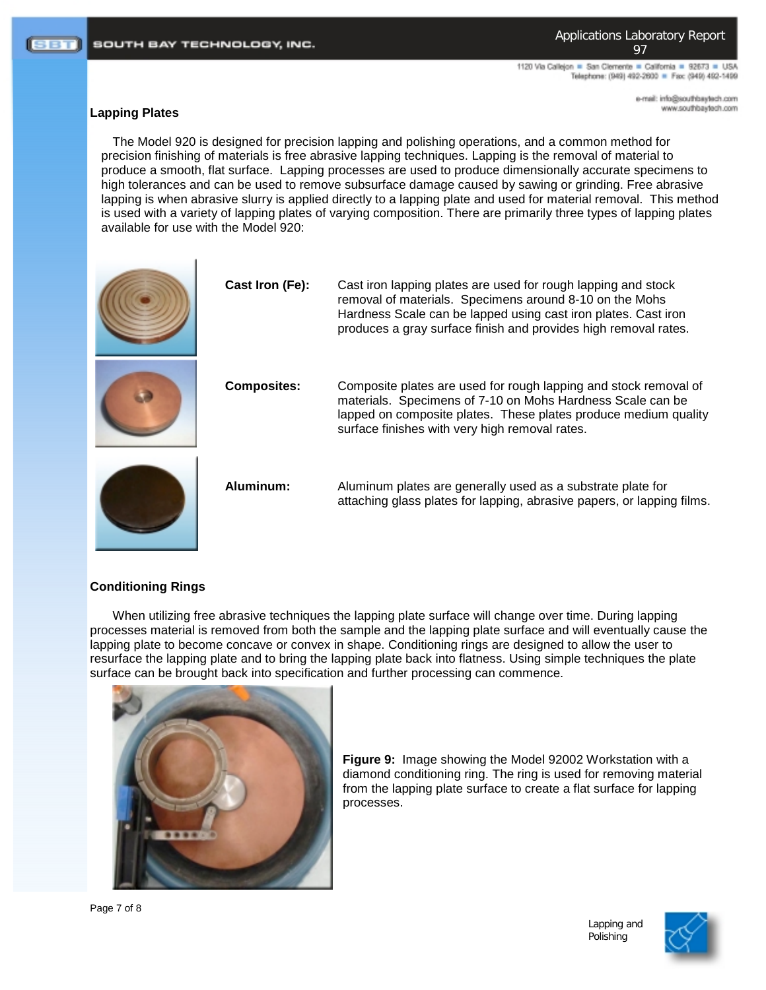1120 Via Callejon = San Clemente = California = 92673 = USA Telephone: (949) 492-2600 = Fax: (949) 492-1499

> mo.rloetysdrtuos@ohri.ilam-e www.southbaytech.com

# **Lapping Plates**

The Model 920 is designed for precision lapping and polishing operations, and a common method for precision finishing of materials is free abrasive lapping techniques. Lapping is the removal of material to produce a smooth, flat surface. Lapping processes are used to produce dimensionally accurate specimens to high tolerances and can be used to remove subsurface damage caused by sawing or grinding. Free abrasive lapping is when abrasive slurry is applied directly to a lapping plate and used for material removal. This method is used with a variety of lapping plates of varying composition. There are primarily three types of lapping plates available for use with the Model 920:

| Cast Iron (Fe):    | Cast iron lapping plates are used for rough lapping and stock<br>removal of materials. Specimens around 8-10 on the Mohs<br>Hardness Scale can be lapped using cast iron plates. Cast iron<br>produces a gray surface finish and provides high removal rates. |
|--------------------|---------------------------------------------------------------------------------------------------------------------------------------------------------------------------------------------------------------------------------------------------------------|
| <b>Composites:</b> | Composite plates are used for rough lapping and stock removal of<br>materials. Specimens of 7-10 on Mohs Hardness Scale can be<br>lapped on composite plates. These plates produce medium quality<br>surface finishes with very high removal rates.           |
| Aluminum:          | Aluminum plates are generally used as a substrate plate for<br>attaching glass plates for lapping, abrasive papers, or lapping films.                                                                                                                         |

# **Conditioning Rings**

When utilizing free abrasive techniques the lapping plate surface will change over time. During lapping processes material is removed from both the sample and the lapping plate surface and will eventually cause the lapping plate to become concave or convex in shape. Conditioning rings are designed to allow the user to resurface the lapping plate and to bring the lapping plate back into flatness. Using simple techniques the plate surface can be brought back into specification and further processing can commence.



**Figure 9:** Image showing the Model 92002 Workstation with a diamond conditioning ring. The ring is used for removing material from the lapping plate surface to create a flat surface for lapping processes.